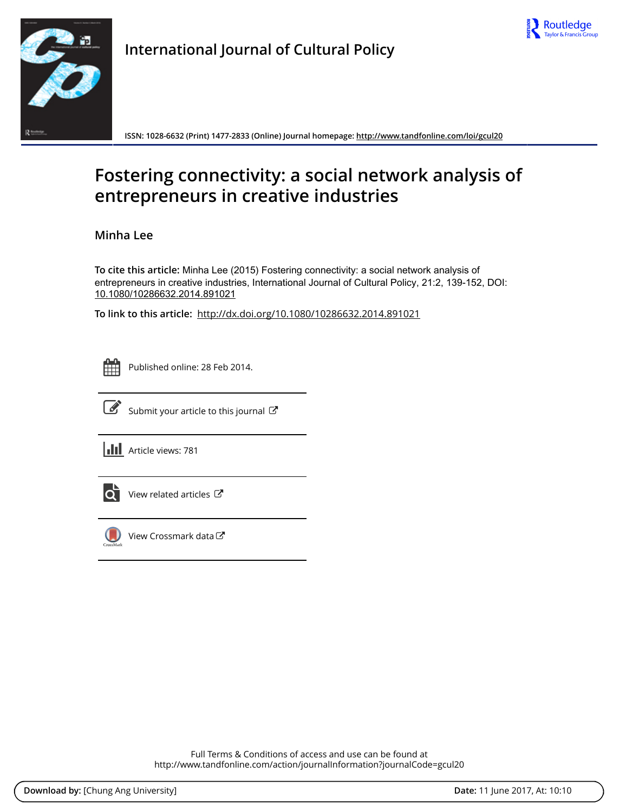



**International Journal of Cultural Policy**

**ISSN: 1028-6632 (Print) 1477-2833 (Online) Journal homepage:<http://www.tandfonline.com/loi/gcul20>**

# **Fostering connectivity: a social network analysis of entrepreneurs in creative industries**

**Minha Lee**

**To cite this article:** Minha Lee (2015) Fostering connectivity: a social network analysis of entrepreneurs in creative industries, International Journal of Cultural Policy, 21:2, 139-152, DOI: [10.1080/10286632.2014.891021](http://www.tandfonline.com/action/showCitFormats?doi=10.1080/10286632.2014.891021)

**To link to this article:** <http://dx.doi.org/10.1080/10286632.2014.891021>

| --<br>_ |  |  |  |  |
|---------|--|--|--|--|
|         |  |  |  |  |
|         |  |  |  |  |
|         |  |  |  |  |

Published online: 28 Feb 2014.



 $\overrightarrow{S}$  [Submit your article to this journal](http://www.tandfonline.com/action/authorSubmission?journalCode=gcul20&show=instructions)  $\overrightarrow{S}$ 

**III** Article views: 781



 $\overline{Q}$  [View related articles](http://www.tandfonline.com/doi/mlt/10.1080/10286632.2014.891021)  $\overline{C}$ 



 $\bigcirc$  [View Crossmark data](http://crossmark.crossref.org/dialog/?doi=10.1080/10286632.2014.891021&domain=pdf&date_stamp=2014-02-28) $\mathbb{Z}$ 

Full Terms & Conditions of access and use can be found at <http://www.tandfonline.com/action/journalInformation?journalCode=gcul20>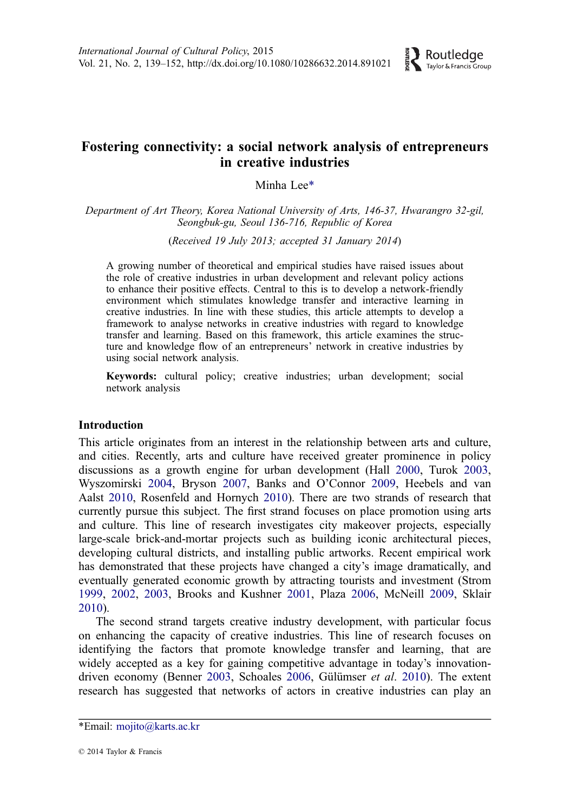

## Fostering connectivity: a social network analysis of entrepreneurs in creative industries

Minha Lee\*

Department of Art Theory, Korea National University of Arts, 146-37, Hwarangro 32-gil, Seongbuk-gu, Seoul 136-716, Republic of Korea

(Received 19 July 2013; accepted 31 January 2014)

A growing number of theoretical and empirical studies have raised issues about the role of creative industries in urban development and relevant policy actions to enhance their positive effects. Central to this is to develop a network-friendly environment which stimulates knowledge transfer and interactive learning in creative industries. In line with these studies, this article attempts to develop a framework to analyse networks in creative industries with regard to knowledge transfer and learning. Based on this framework, this article examines the structure and knowledge flow of an entrepreneurs' network in creative industries by using social network analysis.

Keywords: cultural policy; creative industries; urban development; social network analysis

## Introduction

This article originates from an interest in the relationship between arts and culture, and cities. Recently, arts and culture have received greater prominence in policy discussions as a growth engine for urban development (Hall [2000,](#page-12-0) Turok [2003,](#page-11-0) Wyszomirski [2004](#page-11-0), Bryson [2007,](#page-11-0) Banks and O'Connor [2009,](#page-11-0) Heebels and van Aalst [2010](#page-12-0), Rosenfeld and Hornych [2010](#page-13-0)). There are two strands of research that currently pursue this subject. The first strand focuses on place promotion using arts and culture. This line of research investigates city makeover projects, especially large-scale brick-and-mortar projects such as building iconic architectural pieces, developing cultural districts, and installing public artworks. Recent empirical work has demonstrated that these projects have changed a city's image dramatically, and eventually generated economic growth by attracting tourists and investment (Strom [1999,](#page-13-0) [2002](#page-13-0), [2003,](#page-13-0) Brooks and Kushner [2001](#page-11-0), Plaza [2006](#page-13-0), McNeill [2009,](#page-13-0) Sklair [2010\)](#page-13-0).

The second strand targets creative industry development, with particular focus on enhancing the capacity of creative industries. This line of research focuses on identifying the factors that promote knowledge transfer and learning, that are widely accepted as a key for gaining competitive advantage in today's innovation-driven economy (Benner [2003,](#page-11-0) Schoales [2006](#page-13-0), Gülümser et al. [2010](#page-12-0)). The extent research has suggested that networks of actors in creative industries can play an

<sup>\*</sup>Email: [mojito@karts.ac.kr](mailto:mojito@karts.ac.kr)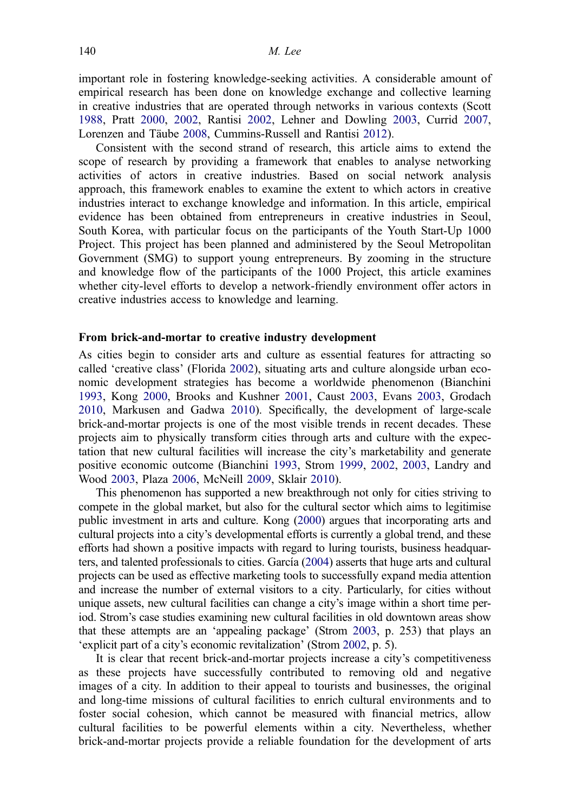important role in fostering knowledge-seeking activities. A considerable amount of empirical research has been done on knowledge exchange and collective learning in creative industries that are operated through networks in various contexts (Scott [1988,](#page-13-0) Pratt [2000,](#page-13-0) [2002,](#page-13-0) Rantisi [2002](#page-13-0), Lehner and Dowling 2003, Currid [2007,](#page-12-0) Lorenzen and Täube [2008](#page-12-0), Cummins-Russell and Rantisi [2012](#page-11-0)).

Consistent with the second strand of research, this article aims to extend the scope of research by providing a framework that enables to analyse networking activities of actors in creative industries. Based on social network analysis approach, this framework enables to examine the extent to which actors in creative industries interact to exchange knowledge and information. In this article, empirical evidence has been obtained from entrepreneurs in creative industries in Seoul, South Korea, with particular focus on the participants of the Youth Start-Up 1000 Project. This project has been planned and administered by the Seoul Metropolitan Government (SMG) to support young entrepreneurs. By zooming in the structure and knowledge flow of the participants of the 1000 Project, this article examines whether city-level efforts to develop a network-friendly environment offer actors in creative industries access to knowledge and learning.

## From brick-and-mortar to creative industry development

As cities begin to consider arts and culture as essential features for attracting so called 'creative class' (Florida [2002\)](#page-12-0), situating arts and culture alongside urban economic development strategies has become a worldwide phenomenon (Bianchini [1993,](#page-11-0) Kong [2000,](#page-12-0) Brooks and Kushner [2001](#page-11-0), Caust [2003,](#page-11-0) Evans [2003](#page-12-0), Grodach [2010,](#page-12-0) Markusen and Gadwa [2010\)](#page-13-0). Specifically, the development of large-scale brick-and-mortar projects is one of the most visible trends in recent decades. These projects aim to physically transform cities through arts and culture with the expectation that new cultural facilities will increase the city's marketability and generate positive economic outcome (Bianchini [1993](#page-11-0), Strom [1999](#page-13-0), [2002,](#page-13-0) [2003,](#page-13-0) Landry and Wood [2003](#page-12-0), Plaza [2006,](#page-13-0) McNeill [2009,](#page-13-0) Sklair [2010\)](#page-13-0).

This phenomenon has supported a new breakthrough not only for cities striving to compete in the global market, but also for the cultural sector which aims to legitimise public investment in arts and culture. Kong ([2000](#page-12-0)) argues that incorporating arts and cultural projects into a city's developmental efforts is currently a global trend, and these efforts had shown a positive impacts with regard to luring tourists, business headquarters, and talented professionals to cities. García [\(2004\)](#page-12-0) asserts that huge arts and cultural projects can be used as effective marketing tools to successfully expand media attention and increase the number of external visitors to a city. Particularly, for cities without unique assets, new cultural facilities can change a city's image within a short time period. Strom's case studies examining new cultural facilities in old downtown areas show that these attempts are an 'appealing package' (Strom [2003](#page-13-0), p. 253) that plays an 'explicit part of a city's economic revitalization' (Strom [2002](#page-13-0), p. 5).

It is clear that recent brick-and-mortar projects increase a city's competitiveness as these projects have successfully contributed to removing old and negative images of a city. In addition to their appeal to tourists and businesses, the original and long-time missions of cultural facilities to enrich cultural environments and to foster social cohesion, which cannot be measured with financial metrics, allow cultural facilities to be powerful elements within a city. Nevertheless, whether brick-and-mortar projects provide a reliable foundation for the development of arts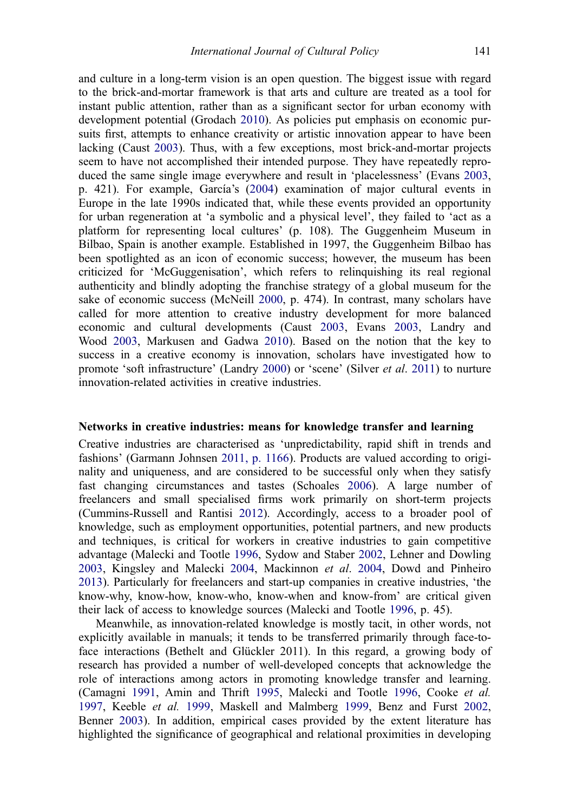and culture in a long-term vision is an open question. The biggest issue with regard to the brick-and-mortar framework is that arts and culture are treated as a tool for instant public attention, rather than as a significant sector for urban economy with development potential (Grodach [2010](#page-12-0)). As policies put emphasis on economic pursuits first, attempts to enhance creativity or artistic innovation appear to have been lacking (Caust [2003\)](#page-11-0). Thus, with a few exceptions, most brick-and-mortar projects seem to have not accomplished their intended purpose. They have repeatedly reproduced the same single image everywhere and result in 'placelessness' (Evans [2003,](#page-12-0) p. 421). For example, García's [\(2004](#page-12-0)) examination of major cultural events in Europe in the late 1990s indicated that, while these events provided an opportunity for urban regeneration at 'a symbolic and a physical level', they failed to 'act as a platform for representing local cultures' (p. 108). The Guggenheim Museum in Bilbao, Spain is another example. Established in 1997, the Guggenheim Bilbao has been spotlighted as an icon of economic success; however, the museum has been criticized for 'McGuggenisation', which refers to relinquishing its real regional authenticity and blindly adopting the franchise strategy of a global museum for the sake of economic success (McNeill [2000,](#page-13-0) p. 474). In contrast, many scholars have called for more attention to creative industry development for more balanced economic and cultural developments (Caust [2003](#page-11-0), Evans [2003](#page-12-0), Landry and Wood [2003,](#page-12-0) Markusen and Gadwa [2010\)](#page-13-0). Based on the notion that the key to success in a creative economy is innovation, scholars have investigated how to promote 'soft infrastructure' (Landry [2000](#page-12-0)) or 'scene' (Silver et al. [2011](#page-13-0)) to nurture innovation-related activities in creative industries.

#### Networks in creative industries: means for knowledge transfer and learning

Creative industries are characterised as 'unpredictability, rapid shift in trends and fashions' (Garmann Johnsen [2011, p. 1166](#page-12-0)). Products are valued according to originality and uniqueness, and are considered to be successful only when they satisfy fast changing circumstances and tastes (Schoales [2006\)](#page-13-0). A large number of freelancers and small specialised firms work primarily on short-term projects (Cummins-Russell and Rantisi [2012\)](#page-11-0). Accordingly, access to a broader pool of knowledge, such as employment opportunities, potential partners, and new products and techniques, is critical for workers in creative industries to gain competitive advantage (Malecki and Tootle [1996,](#page-12-0) Sydow and Staber [2002](#page-13-0), Lehner and Dowling 2003, Kingsley and Malecki [2004](#page-12-0), Mackinnon et al. [2004,](#page-12-0) Dowd and Pinheiro [2013\)](#page-12-0). Particularly for freelancers and start-up companies in creative industries, 'the know-why, know-how, know-who, know-when and know-from' are critical given their lack of access to knowledge sources (Malecki and Tootle [1996](#page-12-0), p. 45).

Meanwhile, as innovation-related knowledge is mostly tacit, in other words, not explicitly available in manuals; it tends to be transferred primarily through face-toface interactions (Bethelt and Glückler 2011). In this regard, a growing body of research has provided a number of well-developed concepts that acknowledge the role of interactions among actors in promoting knowledge transfer and learning. (Camagni [1991,](#page-11-0) Amin and Thrift [1995,](#page-11-0) Malecki and Tootle [1996,](#page-12-0) Cooke et al. [1997,](#page-11-0) Keeble et al. [1999](#page-12-0), Maskell and Malmberg 1999, Benz and Furst [2002,](#page-11-0) Benner [2003](#page-11-0)). In addition, empirical cases provided by the extent literature has highlighted the significance of geographical and relational proximities in developing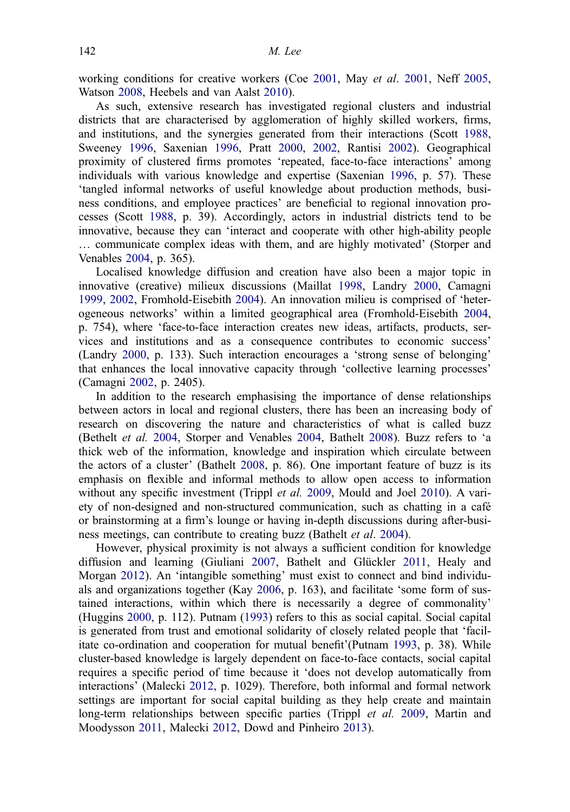working conditions for creative workers (Coe [2001](#page-13-0), May *et al.* 2001, Neff [2005,](#page-13-0) Watson [2008](#page-11-0), Heebels and van Aalst [2010](#page-12-0)).

As such, extensive research has investigated regional clusters and industrial districts that are characterised by agglomeration of highly skilled workers, firms, and institutions, and the synergies generated from their interactions (Scott [1988,](#page-13-0) Sweeney [1996,](#page-13-0) Saxenian [1996,](#page-13-0) Pratt [2000](#page-13-0), [2002,](#page-13-0) Rantisi [2002](#page-13-0)). Geographical proximity of clustered firms promotes 'repeated, face-to-face interactions' among individuals with various knowledge and expertise (Saxenian [1996](#page-13-0), p. 57). These 'tangled informal networks of useful knowledge about production methods, business conditions, and employee practices' are beneficial to regional innovation processes (Scott [1988](#page-13-0), p. 39). Accordingly, actors in industrial districts tend to be innovative, because they can 'interact and cooperate with other high-ability people … communicate complex ideas with them, and are highly motivated' (Storper and Venables [2004,](#page-13-0) p. 365).

Localised knowledge diffusion and creation have also been a major topic in innovative (creative) milieux discussions (Maillat [1998,](#page-12-0) Landry [2000](#page-12-0), Camagni [1999,](#page-11-0) [2002](#page-11-0), Fromhold-Eisebith [2004\)](#page-12-0). An innovation milieu is comprised of 'heterogeneous networks' within a limited geographical area (Fromhold-Eisebith [2004,](#page-12-0) p. 754), where 'face-to-face interaction creates new ideas, artifacts, products, services and institutions and as a consequence contributes to economic success' (Landry [2000,](#page-12-0) p. 133). Such interaction encourages a 'strong sense of belonging' that enhances the local innovative capacity through 'collective learning processes' (Camagni [2002](#page-11-0), p. 2405).

In addition to the research emphasising the importance of dense relationships between actors in local and regional clusters, there has been an increasing body of research on discovering the nature and characteristics of what is called buzz (Bethelt et al. [2004,](#page-11-0) Storper and Venables [2004](#page-13-0), Bathelt [2008](#page-11-0)). Buzz refers to 'a thick web of the information, knowledge and inspiration which circulate between the actors of a cluster' (Bathelt [2008](#page-11-0), p. 86). One important feature of buzz is its emphasis on flexible and informal methods to allow open access to information without any specific investment (Trippl et al. [2009,](#page-11-0) Mould and Joel [2010](#page-13-0)). A variety of non-designed and non-structured communication, such as chatting in a café or brainstorming at a firm's lounge or having in-depth discussions during after-business meetings, can contribute to creating buzz (Bathelt et al. [2004\)](#page-11-0).

However, physical proximity is not always a sufficient condition for knowledge diffusion and learning (Giuliani [2007,](#page-12-0) Bathelt and Glückler [2011,](#page-11-0) Healy and Morgan [2012\)](#page-12-0). An 'intangible something' must exist to connect and bind individuals and organizations together (Kay [2006](#page-12-0), p. 163), and facilitate 'some form of sustained interactions, within which there is necessarily a degree of commonality' (Huggins [2000,](#page-12-0) p. 112). Putnam [\(1993](#page-13-0)) refers to this as social capital. Social capital is generated from trust and emotional solidarity of closely related people that 'facilitate co-ordination and cooperation for mutual benefit'(Putnam [1993](#page-13-0), p. 38). While cluster-based knowledge is largely dependent on face-to-face contacts, social capital requires a specific period of time because it 'does not develop automatically from interactions' (Malecki [2012,](#page-12-0) p. 1029). Therefore, both informal and formal network settings are important for social capital building as they help create and maintain long-term relationships between specific parties (Trippl *et al.* [2009](#page-11-0), Martin and Moodysson [2011,](#page-13-0) Malecki [2012](#page-12-0), Dowd and Pinheiro [2013](#page-12-0)).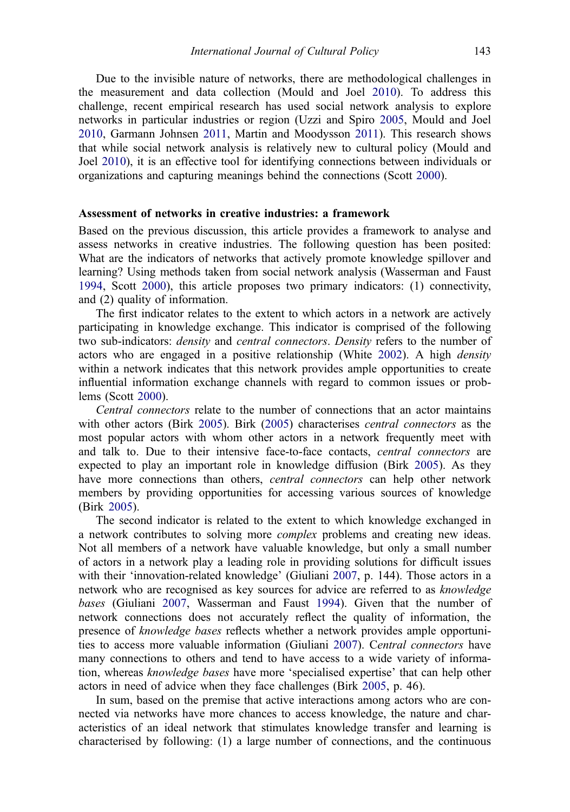Due to the invisible nature of networks, there are methodological challenges in the measurement and data collection (Mould and Joel [2010](#page-13-0)). To address this challenge, recent empirical research has used social network analysis to explore networks in particular industries or region (Uzzi and Spiro [2005,](#page-11-0) Mould and Joel [2010,](#page-13-0) Garmann Johnsen [2011,](#page-12-0) Martin and Moodysson [2011](#page-13-0)). This research shows that while social network analysis is relatively new to cultural policy (Mould and Joel [2010](#page-13-0)), it is an effective tool for identifying connections between individuals or organizations and capturing meanings behind the connections (Scott [2000](#page-13-0)).

#### Assessment of networks in creative industries: a framework

Based on the previous discussion, this article provides a framework to analyse and assess networks in creative industries. The following question has been posited: What are the indicators of networks that actively promote knowledge spillover and learning? Using methods taken from social network analysis (Wasserman and Faust [1994,](#page-11-0) Scott [2000\)](#page-13-0), this article proposes two primary indicators: (1) connectivity, and (2) quality of information.

The first indicator relates to the extent to which actors in a network are actively participating in knowledge exchange. This indicator is comprised of the following two sub-indicators: density and central connectors. Density refers to the number of actors who are engaged in a positive relationship (White [2002](#page-11-0)). A high density within a network indicates that this network provides ample opportunities to create influential information exchange channels with regard to common issues or problems (Scott [2000\)](#page-13-0).

Central connectors relate to the number of connections that an actor maintains with other actors (Birk [2005\)](#page-11-0). Birk [\(2005](#page-11-0)) characterises *central connectors* as the most popular actors with whom other actors in a network frequently meet with and talk to. Due to their intensive face-to-face contacts, central connectors are expected to play an important role in knowledge diffusion (Birk [2005\)](#page-11-0). As they have more connections than others, *central connectors* can help other network members by providing opportunities for accessing various sources of knowledge (Birk [2005\)](#page-11-0).

The second indicator is related to the extent to which knowledge exchanged in a network contributes to solving more complex problems and creating new ideas. Not all members of a network have valuable knowledge, but only a small number of actors in a network play a leading role in providing solutions for difficult issues with their 'innovation-related knowledge' (Giuliani [2007](#page-12-0), p. 144). Those actors in a network who are recognised as key sources for advice are referred to as knowledge bases (Giuliani [2007,](#page-12-0) Wasserman and Faust [1994\)](#page-11-0). Given that the number of network connections does not accurately reflect the quality of information, the presence of knowledge bases reflects whether a network provides ample opportunities to access more valuable information (Giuliani [2007\)](#page-12-0). Central connectors have many connections to others and tend to have access to a wide variety of information, whereas knowledge bases have more 'specialised expertise' that can help other actors in need of advice when they face challenges (Birk [2005,](#page-11-0) p. 46).

In sum, based on the premise that active interactions among actors who are connected via networks have more chances to access knowledge, the nature and characteristics of an ideal network that stimulates knowledge transfer and learning is characterised by following: (1) a large number of connections, and the continuous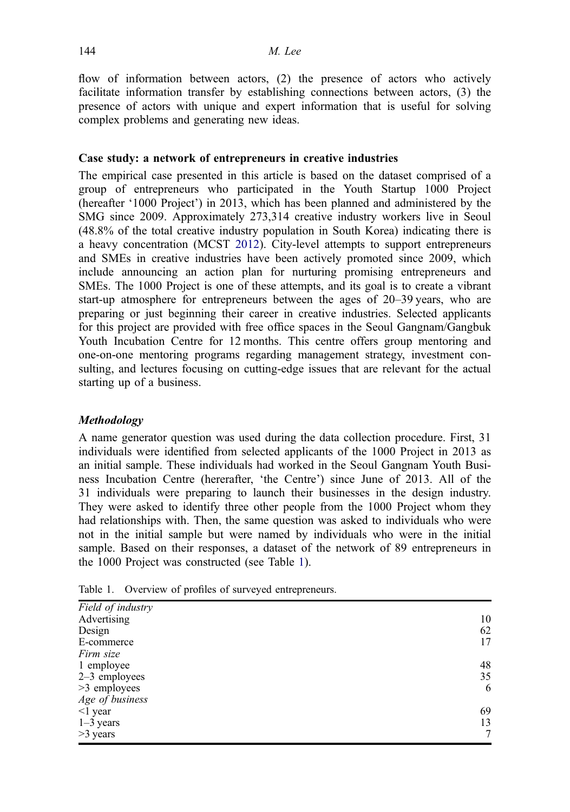flow of information between actors, (2) the presence of actors who actively facilitate information transfer by establishing connections between actors, (3) the presence of actors with unique and expert information that is useful for solving complex problems and generating new ideas.

## Case study: a network of entrepreneurs in creative industries

The empirical case presented in this article is based on the dataset comprised of a group of entrepreneurs who participated in the Youth Startup 1000 Project (hereafter '1000 Project') in 2013, which has been planned and administered by the SMG since 2009. Approximately 273,314 creative industry workers live in Seoul (48.8% of the total creative industry population in South Korea) indicating there is a heavy concentration (MCST [2012\)](#page-12-0). City-level attempts to support entrepreneurs and SMEs in creative industries have been actively promoted since 2009, which include announcing an action plan for nurturing promising entrepreneurs and SMEs. The 1000 Project is one of these attempts, and its goal is to create a vibrant start-up atmosphere for entrepreneurs between the ages of 20–39 years, who are preparing or just beginning their career in creative industries. Selected applicants for this project are provided with free office spaces in the Seoul Gangnam/Gangbuk Youth Incubation Centre for 12 months. This centre offers group mentoring and one-on-one mentoring programs regarding management strategy, investment consulting, and lectures focusing on cutting-edge issues that are relevant for the actual starting up of a business.

## Methodology

A name generator question was used during the data collection procedure. First, 31 individuals were identified from selected applicants of the 1000 Project in 2013 as an initial sample. These individuals had worked in the Seoul Gangnam Youth Business Incubation Centre (hererafter, 'the Centre') since June of 2013. All of the 31 individuals were preparing to launch their businesses in the design industry. They were asked to identify three other people from the 1000 Project whom they had relationships with. Then, the same question was asked to individuals who were not in the initial sample but were named by individuals who were in the initial sample. Based on their responses, a dataset of the network of 89 entrepreneurs in the 1000 Project was constructed (see Table 1).

Table 1. Overview of profiles of surveyed entrepreneurs.

| Field of industry |    |
|-------------------|----|
| Advertising       | 10 |
| Design            | 62 |
| E-commerce        | 17 |
| Firm size         |    |
| 1 employee        | 48 |
| 2-3 employees     | 35 |
| >3 employees      | 6  |
| Age of business   |    |
| $<$ 1 year        | 69 |
| $1-3$ years       | 13 |
| >3 years          | 7  |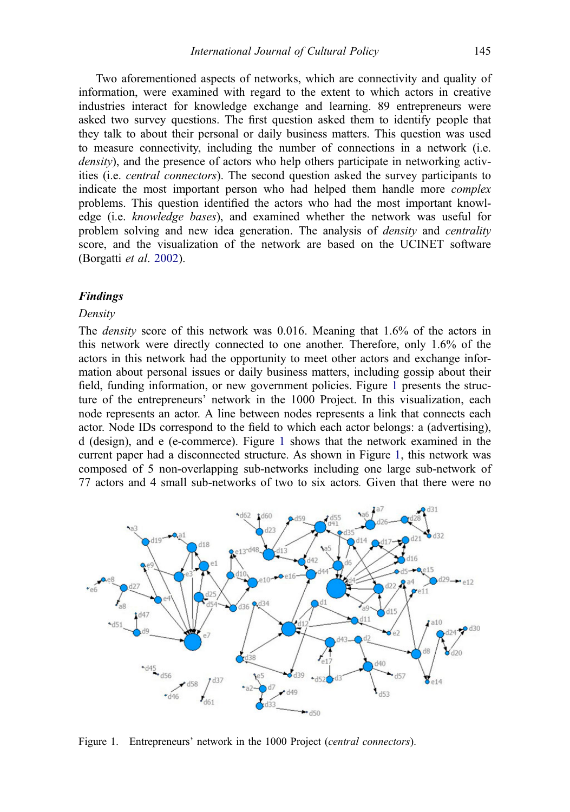<span id="page-7-0"></span>Two aforementioned aspects of networks, which are connectivity and quality of information, were examined with regard to the extent to which actors in creative industries interact for knowledge exchange and learning. 89 entrepreneurs were asked two survey questions. The first question asked them to identify people that they talk to about their personal or daily business matters. This question was used to measure connectivity, including the number of connections in a network (i.e. density), and the presence of actors who help others participate in networking activities (i.e. central connectors). The second question asked the survey participants to indicate the most important person who had helped them handle more complex problems. This question identified the actors who had the most important knowledge (i.e. knowledge bases), and examined whether the network was useful for problem solving and new idea generation. The analysis of density and centrality score, and the visualization of the network are based on the UCINET software (Borgatti et al. [2002\)](#page-11-0).

## Findings

#### Density

The density score of this network was 0.016. Meaning that 1.6% of the actors in this network were directly connected to one another. Therefore, only 1.6% of the actors in this network had the opportunity to meet other actors and exchange information about personal issues or daily business matters, including gossip about their field, funding information, or new government policies. Figure 1 presents the structure of the entrepreneurs' network in the 1000 Project. In this visualization, each node represents an actor. A line between nodes represents a link that connects each actor. Node IDs correspond to the field to which each actor belongs: a (advertising), d (design), and e (e-commerce). Figure 1 shows that the network examined in the current paper had a disconnected structure. As shown in Figure 1, this network was composed of 5 non-overlapping sub-networks including one large sub-network of 77 actors and 4 small sub-networks of two to six actors. Given that there were no



Figure 1. Entrepreneurs' network in the 1000 Project (*central connectors*).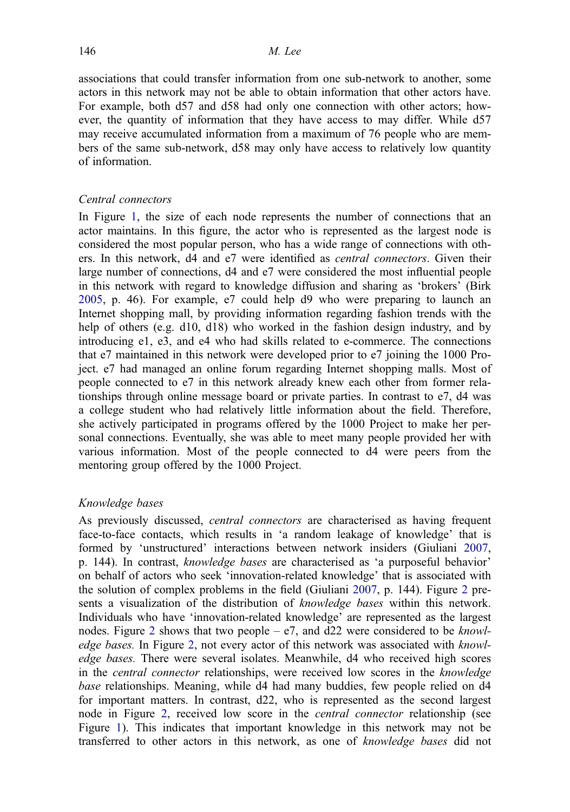associations that could transfer information from one sub-network to another, some actors in this network may not be able to obtain information that other actors have. For example, both d57 and d58 had only one connection with other actors; however, the quantity of information that they have access to may differ. While d57 may receive accumulated information from a maximum of 76 people who are members of the same sub-network, d58 may only have access to relatively low quantity of information.

## Central connectors

In Figure [1,](#page-7-0) the size of each node represents the number of connections that an actor maintains. In this figure, the actor who is represented as the largest node is considered the most popular person, who has a wide range of connections with others. In this network, d4 and e7 were identified as central connectors. Given their large number of connections, d4 and e7 were considered the most influential people in this network with regard to knowledge diffusion and sharing as 'brokers' (Birk [2005,](#page-11-0) p. 46). For example, e7 could help d9 who were preparing to launch an Internet shopping mall, by providing information regarding fashion trends with the help of others (e.g. d10, d18) who worked in the fashion design industry, and by introducing e1, e3, and e4 who had skills related to e-commerce. The connections that e7 maintained in this network were developed prior to e7 joining the 1000 Project. e7 had managed an online forum regarding Internet shopping malls. Most of people connected to e7 in this network already knew each other from former relationships through online message board or private parties. In contrast to e7, d4 was a college student who had relatively little information about the field. Therefore, she actively participated in programs offered by the 1000 Project to make her personal connections. Eventually, she was able to meet many people provided her with various information. Most of the people connected to d4 were peers from the mentoring group offered by the 1000 Project.

## Knowledge bases

As previously discussed, central connectors are characterised as having frequent face-to-face contacts, which results in 'a random leakage of knowledge' that is formed by 'unstructured' interactions between network insiders (Giuliani [2007,](#page-12-0) p. 144). In contrast, knowledge bases are characterised as 'a purposeful behavior' on behalf of actors who seek 'innovation-related knowledge' that is associated with the solution of complex problems in the field (Giuliani [2007](#page-12-0), p. 144). Figure [2](#page-9-0) presents a visualization of the distribution of knowledge bases within this network. Individuals who have 'innovation-related knowledge' are represented as the largest nodes. Figure [2](#page-9-0) shows that two people –  $e$ 7, and d22 were considered to be *knowl*-edge bases. In Figure [2](#page-9-0), not every actor of this network was associated with knowledge bases. There were several isolates. Meanwhile, d4 who received high scores in the *central connector* relationships, were received low scores in the *knowledge* base relationships. Meaning, while d4 had many buddies, few people relied on d4 for important matters. In contrast, d22, who is represented as the second largest node in Figure [2,](#page-9-0) received low score in the central connector relationship (see Figure [1\)](#page-7-0). This indicates that important knowledge in this network may not be transferred to other actors in this network, as one of knowledge bases did not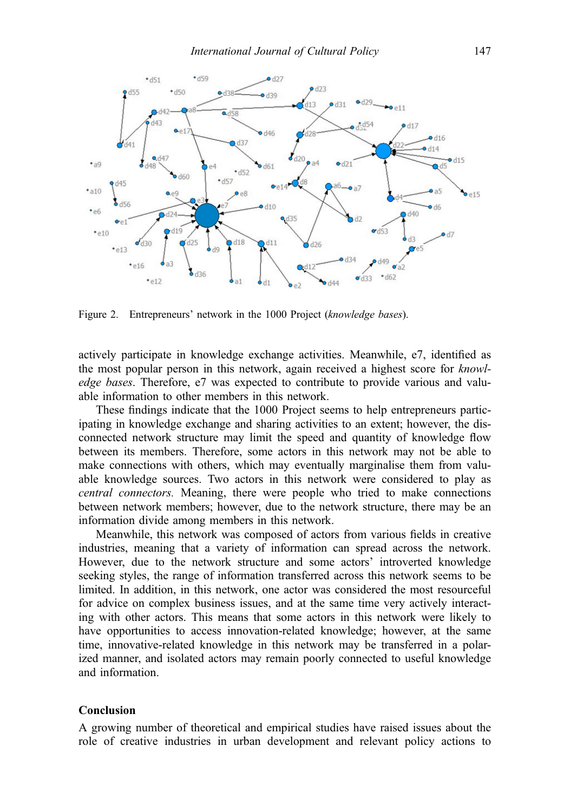<span id="page-9-0"></span>

Figure 2. Entrepreneurs' network in the 1000 Project (knowledge bases).

actively participate in knowledge exchange activities. Meanwhile, e7, identified as the most popular person in this network, again received a highest score for knowledge bases. Therefore, e7 was expected to contribute to provide various and valuable information to other members in this network.

These findings indicate that the 1000 Project seems to help entrepreneurs participating in knowledge exchange and sharing activities to an extent; however, the disconnected network structure may limit the speed and quantity of knowledge flow between its members. Therefore, some actors in this network may not be able to make connections with others, which may eventually marginalise them from valuable knowledge sources. Two actors in this network were considered to play as central connectors. Meaning, there were people who tried to make connections between network members; however, due to the network structure, there may be an information divide among members in this network.

Meanwhile, this network was composed of actors from various fields in creative industries, meaning that a variety of information can spread across the network. However, due to the network structure and some actors' introverted knowledge seeking styles, the range of information transferred across this network seems to be limited. In addition, in this network, one actor was considered the most resourceful for advice on complex business issues, and at the same time very actively interacting with other actors. This means that some actors in this network were likely to have opportunities to access innovation-related knowledge; however, at the same time, innovative-related knowledge in this network may be transferred in a polarized manner, and isolated actors may remain poorly connected to useful knowledge and information.

## Conclusion

A growing number of theoretical and empirical studies have raised issues about the role of creative industries in urban development and relevant policy actions to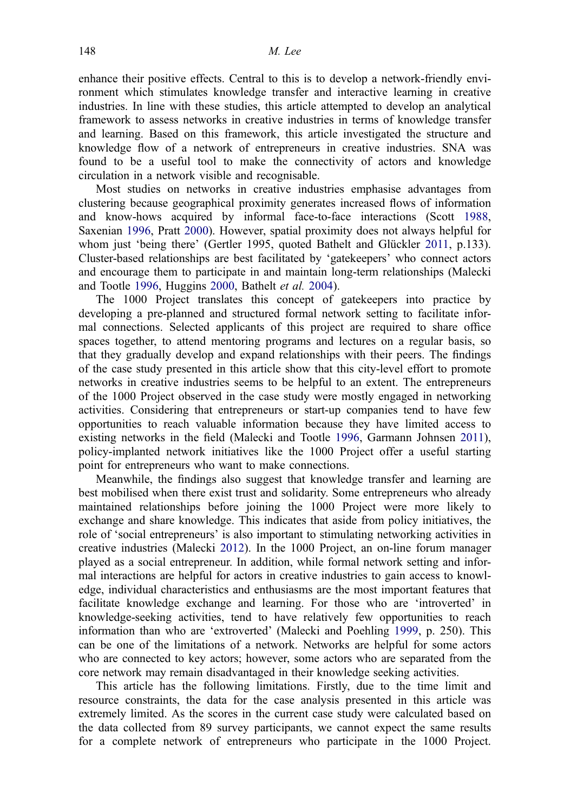enhance their positive effects. Central to this is to develop a network-friendly environment which stimulates knowledge transfer and interactive learning in creative industries. In line with these studies, this article attempted to develop an analytical framework to assess networks in creative industries in terms of knowledge transfer and learning. Based on this framework, this article investigated the structure and knowledge flow of a network of entrepreneurs in creative industries. SNA was found to be a useful tool to make the connectivity of actors and knowledge circulation in a network visible and recognisable.

Most studies on networks in creative industries emphasise advantages from clustering because geographical proximity generates increased flows of information and know-hows acquired by informal face-to-face interactions (Scott [1988,](#page-13-0) Saxenian [1996](#page-13-0), Pratt [2000](#page-13-0)). However, spatial proximity does not always helpful for whom just 'being there' (Gertler 1995, quoted Bathelt and Glückler [2011,](#page-11-0) p.133). Cluster-based relationships are best facilitated by 'gatekeepers' who connect actors and encourage them to participate in and maintain long-term relationships (Malecki and Tootle [1996](#page-12-0), Huggins [2000](#page-12-0), Bathelt et al. [2004](#page-11-0)).

The 1000 Project translates this concept of gatekeepers into practice by developing a pre-planned and structured formal network setting to facilitate informal connections. Selected applicants of this project are required to share office spaces together, to attend mentoring programs and lectures on a regular basis, so that they gradually develop and expand relationships with their peers. The findings of the case study presented in this article show that this city-level effort to promote networks in creative industries seems to be helpful to an extent. The entrepreneurs of the 1000 Project observed in the case study were mostly engaged in networking activities. Considering that entrepreneurs or start-up companies tend to have few opportunities to reach valuable information because they have limited access to existing networks in the field (Malecki and Tootle [1996](#page-12-0), Garmann Johnsen [2011](#page-12-0)), policy-implanted network initiatives like the 1000 Project offer a useful starting point for entrepreneurs who want to make connections.

Meanwhile, the findings also suggest that knowledge transfer and learning are best mobilised when there exist trust and solidarity. Some entrepreneurs who already maintained relationships before joining the 1000 Project were more likely to exchange and share knowledge. This indicates that aside from policy initiatives, the role of 'social entrepreneurs' is also important to stimulating networking activities in creative industries (Malecki [2012\)](#page-12-0). In the 1000 Project, an on-line forum manager played as a social entrepreneur. In addition, while formal network setting and informal interactions are helpful for actors in creative industries to gain access to knowledge, individual characteristics and enthusiasms are the most important features that facilitate knowledge exchange and learning. For those who are 'introverted' in knowledge-seeking activities, tend to have relatively few opportunities to reach information than who are 'extroverted' (Malecki and Poehling [1999](#page-12-0), p. 250). This can be one of the limitations of a network. Networks are helpful for some actors who are connected to key actors; however, some actors who are separated from the core network may remain disadvantaged in their knowledge seeking activities.

This article has the following limitations. Firstly, due to the time limit and resource constraints, the data for the case analysis presented in this article was extremely limited. As the scores in the current case study were calculated based on the data collected from 89 survey participants, we cannot expect the same results for a complete network of entrepreneurs who participate in the 1000 Project.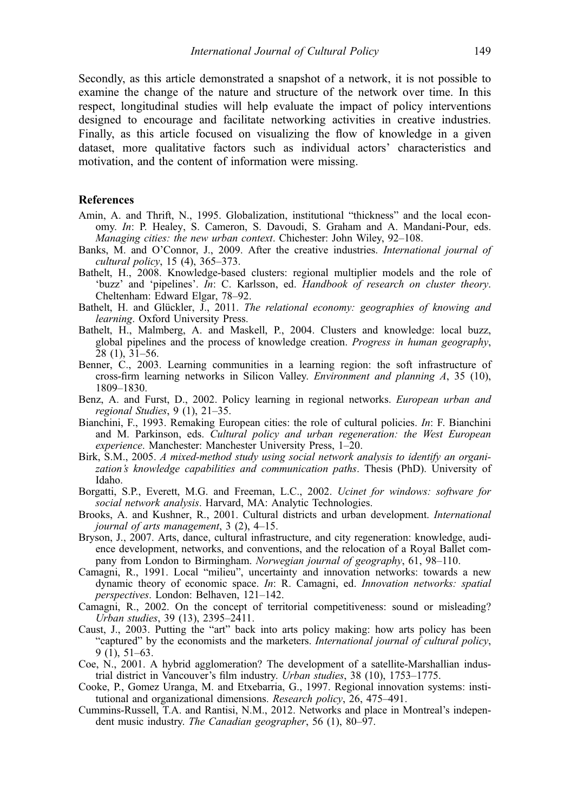<span id="page-11-0"></span>Secondly, as this article demonstrated a snapshot of a network, it is not possible to examine the change of the nature and structure of the network over time. In this respect, longitudinal studies will help evaluate the impact of policy interventions designed to encourage and facilitate networking activities in creative industries. Finally, as this article focused on visualizing the flow of knowledge in a given dataset, more qualitative factors such as individual actors' characteristics and motivation, and the content of information were missing.

#### References

- Amin, A. and Thrift, N., 1995. Globalization, institutional "thickness" and the local economy. In: P. Healey, S. Cameron, S. Davoudi, S. Graham and A. Mandani-Pour, eds. Managing cities: the new urban context. Chichester: John Wiley, 92–108.
- Banks, M. and O'Connor, J., 2009. After the creative industries. International journal of cultural policy, 15 (4), 365–373.
- Bathelt, H., 2008. Knowledge-based clusters: regional multiplier models and the role of 'buzz' and 'pipelines'. In: C. Karlsson, ed. Handbook of research on cluster theory. Cheltenham: Edward Elgar, 78–92.
- Bathelt, H. and Glückler, J., 2011. The relational economy: geographies of knowing and learning. Oxford University Press.
- Bathelt, H., Malmberg, A. and Maskell, P., 2004. Clusters and knowledge: local buzz, global pipelines and the process of knowledge creation. Progress in human geography,  $28$  (1),  $31-56$ .
- Benner, C., 2003. Learning communities in a learning region: the soft infrastructure of cross-firm learning networks in Silicon Valley. Environment and planning A, 35 (10), 1809–1830.
- Benz, A. and Furst, D., 2002. Policy learning in regional networks. European urban and regional Studies, 9 (1), 21–35.
- Bianchini, F., 1993. Remaking European cities: the role of cultural policies. In: F. Bianchini and M. Parkinson, eds. Cultural policy and urban regeneration: the West European experience. Manchester: Manchester University Press, 1–20.
- Birk, S.M., 2005. A mixed-method study using social network analysis to identify an organization's knowledge capabilities and communication paths. Thesis (PhD). University of Idaho.
- Borgatti, S.P., Everett, M.G. and Freeman, L.C., 2002. Ucinet for windows: software for social network analysis. Harvard, MA: Analytic Technologies.
- Brooks, A. and Kushner, R., 2001. Cultural districts and urban development. International journal of arts management, 3 (2), 4–15.
- Bryson, J., 2007. Arts, dance, cultural infrastructure, and city regeneration: knowledge, audience development, networks, and conventions, and the relocation of a Royal Ballet company from London to Birmingham. Norwegian journal of geography, 61, 98–110.
- Camagni, R., 1991. Local "milieu", uncertainty and innovation networks: towards a new dynamic theory of economic space. In: R. Camagni, ed. Innovation networks: spatial perspectives. London: Belhaven, 121–142.
- Camagni, R., 2002. On the concept of territorial competitiveness: sound or misleading? Urban studies, 39 (13), 2395–2411.
- Caust, J., 2003. Putting the "art" back into arts policy making: how arts policy has been "captured" by the economists and the marketers. International journal of cultural policy, 9 (1), 51–63.
- Coe, N., 2001. A hybrid agglomeration? The development of a satellite-Marshallian industrial district in Vancouver's film industry. Urban studies, 38 (10), 1753–1775.
- Cooke, P., Gomez Uranga, M. and Etxebarria, G., 1997. Regional innovation systems: institutional and organizational dimensions. Research policy, 26, 475–491.
- Cummins-Russell, T.A. and Rantisi, N.M., 2012. Networks and place in Montreal's independent music industry. The Canadian geographer, 56 (1), 80–97.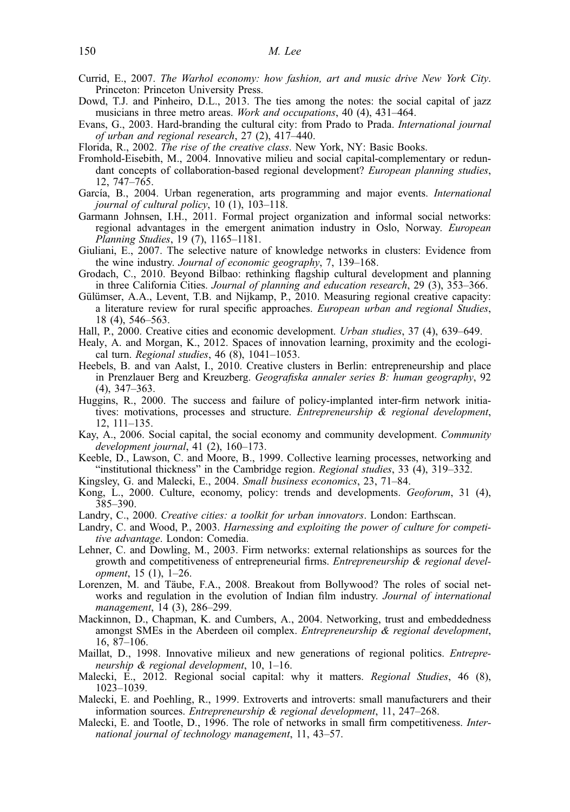- <span id="page-12-0"></span>Currid, E., 2007. The Warhol economy: how fashion, art and music drive New York City. Princeton: Princeton University Press.
- Dowd, T.J. and Pinheiro, D.L., 2013. The ties among the notes: the social capital of jazz musicians in three metro areas. Work and occupations, 40 (4), 431–464.
- Evans, G., 2003. Hard-branding the cultural city: from Prado to Prada. International journal of urban and regional research, 27 (2), 417–440.
- Florida, R., 2002. The rise of the creative class. New York, NY: Basic Books.
- Fromhold-Eisebith, M., 2004. Innovative milieu and social capital-complementary or redundant concepts of collaboration-based regional development? European planning studies, 12, 747–765.
- García, B., 2004. Urban regeneration, arts programming and major events. International journal of cultural policy,  $10$  (1),  $103-118$ .
- Garmann Johnsen, I.H., 2011. Formal project organization and informal social networks: regional advantages in the emergent animation industry in Oslo, Norway. European Planning Studies, 19 (7), 1165–1181.
- Giuliani, E., 2007. The selective nature of knowledge networks in clusters: Evidence from the wine industry. Journal of economic geography, 7, 139–168.
- Grodach, C., 2010. Beyond Bilbao: rethinking flagship cultural development and planning in three California Cities. Journal of planning and education research, 29 (3), 353–366.
- Gülümser, A.A., Levent, T.B. and Nijkamp, P., 2010. Measuring regional creative capacity: a literature review for rural specific approaches. European urban and regional Studies, 18 (4), 546–563.
- Hall, P., 2000. Creative cities and economic development. Urban studies, 37 (4), 639–649.
- Healy, A. and Morgan, K., 2012. Spaces of innovation learning, proximity and the ecological turn. Regional studies, 46 (8), 1041–1053.
- Heebels, B. and van Aalst, I., 2010. Creative clusters in Berlin: entrepreneurship and place in Prenzlauer Berg and Kreuzberg. Geografiska annaler series B: human geography, 92 (4), 347–363.
- Huggins, R., 2000. The success and failure of policy-implanted inter-firm network initiatives: motivations, processes and structure. Entrepreneurship  $\&$  regional development, 12, 111–135.
- Kay, A., 2006. Social capital, the social economy and community development. Community development journal, 41 (2), 160–173.
- Keeble, D., Lawson, C. and Moore, B., 1999. Collective learning processes, networking and "institutional thickness" in the Cambridge region. Regional studies, 33 (4), 319–332.
- Kingsley, G. and Malecki, E., 2004. Small business economics, 23, 71–84.
- Kong, L., 2000. Culture, economy, policy: trends and developments. Geoforum, 31 (4), 385–390.
- Landry, C., 2000. Creative cities: a toolkit for urban innovators. London: Earthscan.
- Landry, C. and Wood, P., 2003. Harnessing and exploiting the power of culture for competitive advantage. London: Comedia.
- Lehner, C. and Dowling, M., 2003. Firm networks: external relationships as sources for the growth and competitiveness of entrepreneurial firms. Entrepreneurship & regional development, 15 (1), 1–26.
- Lorenzen, M. and Täube, F.A., 2008. Breakout from Bollywood? The roles of social networks and regulation in the evolution of Indian film industry. Journal of international management, 14 (3), 286–299.
- Mackinnon, D., Chapman, K. and Cumbers, A., 2004. Networking, trust and embeddedness amongst SMEs in the Aberdeen oil complex. Entrepreneurship & regional development, 16, 87–106.
- Maillat, D., 1998. Innovative milieux and new generations of regional politics. Entrepreneurship & regional development, 10, 1–16.
- Malecki, E., 2012. Regional social capital: why it matters. Regional Studies, 46 (8), 1023–1039.
- Malecki, E. and Poehling, R., 1999. Extroverts and introverts: small manufacturers and their information sources. Entrepreneurship & regional development, 11, 247–268.
- Malecki, E. and Tootle, D., 1996. The role of networks in small firm competitiveness. International journal of technology management, 11, 43–57.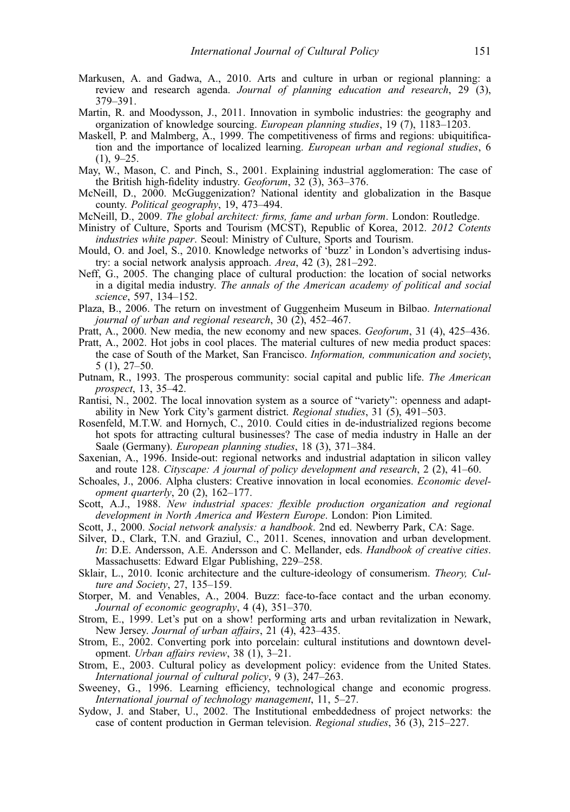- <span id="page-13-0"></span>Markusen, A. and Gadwa, A., 2010. Arts and culture in urban or regional planning: a review and research agenda. Journal of planning education and research, 29 (3), 379–391.
- Martin, R. and Moodysson, J., 2011. Innovation in symbolic industries: the geography and organization of knowledge sourcing. European planning studies, 19 (7), 1183–1203.
- Maskell, P. and Malmberg, A., 1999. The competitiveness of firms and regions: ubiquitification and the importance of localized learning. European urban and regional studies, 6  $(1), 9-25.$
- May, W., Mason, C. and Pinch, S., 2001. Explaining industrial agglomeration: The case of the British high-fidelity industry. Geoforum,  $32$  (3),  $363-376$ .
- McNeill, D., 2000. McGuggenization? National identity and globalization in the Basque county. Political geography, 19, 473–494.
- McNeill, D., 2009. The global architect: firms, fame and urban form. London: Routledge.
- Ministry of Culture, Sports and Tourism (MCST), Republic of Korea, 2012. 2012 Cotents industries white paper. Seoul: Ministry of Culture, Sports and Tourism.
- Mould, O. and Joel, S., 2010. Knowledge networks of 'buzz' in London's advertising industry: a social network analysis approach. Area, 42 (3), 281–292.
- Neff, G., 2005. The changing place of cultural production: the location of social networks in a digital media industry. The annals of the American academy of political and social science, 597, 134–152.
- Plaza, B., 2006. The return on investment of Guggenheim Museum in Bilbao. International journal of urban and regional research, 30 (2), 452–467.
- Pratt, A., 2000. New media, the new economy and new spaces. Geoforum, 31 (4), 425–436.
- Pratt, A., 2002. Hot jobs in cool places. The material cultures of new media product spaces: the case of South of the Market, San Francisco. Information, communication and society, 5 (1), 27–50.
- Putnam, R., 1993. The prosperous community: social capital and public life. The American prospect, 13, 35–42.
- Rantisi, N., 2002. The local innovation system as a source of "variety": openness and adaptability in New York City's garment district. Regional studies, 31 (5), 491-503.
- Rosenfeld, M.T.W. and Hornych, C., 2010. Could cities in de-industrialized regions become hot spots for attracting cultural businesses? The case of media industry in Halle an der Saale (Germany). European planning studies, 18 (3), 371–384.
- Saxenian, A., 1996. Inside-out: regional networks and industrial adaptation in silicon valley and route 128. Cityscape: A journal of policy development and research, 2 (2), 41–60.
- Schoales, J., 2006. Alpha clusters: Creative innovation in local economies. Economic development quarterly, 20 (2), 162–177.
- Scott, A.J., 1988. New industrial spaces: flexible production organization and regional development in North America and Western Europe. London: Pion Limited.
- Scott, J., 2000. Social network analysis: a handbook. 2nd ed. Newberry Park, CA: Sage.
- Silver, D., Clark, T.N. and Graziul, C., 2011. Scenes, innovation and urban development. In: D.E. Andersson, A.E. Andersson and C. Mellander, eds. Handbook of creative cities. Massachusetts: Edward Elgar Publishing, 229–258.
- Sklair, L., 2010. Iconic architecture and the culture-ideology of consumerism. Theory, Culture and Society, 27, 135-159.
- Storper, M. and Venables, A., 2004. Buzz: face-to-face contact and the urban economy. Journal of economic geography, 4 (4), 351–370.
- Strom, E., 1999. Let's put on a show! performing arts and urban revitalization in Newark, New Jersey. Journal of urban affairs, 21 (4), 423–435.
- Strom, E., 2002. Converting pork into porcelain: cultural institutions and downtown development. Urban affairs review, 38 (1), 3–21.
- Strom, E., 2003. Cultural policy as development policy: evidence from the United States. International journal of cultural policy,  $9(3)$ ,  $247-263$ .
- Sweeney, G., 1996. Learning efficiency, technological change and economic progress. International journal of technology management, 11, 5–27.
- Sydow, J. and Staber, U., 2002. The Institutional embeddedness of project networks: the case of content production in German television. Regional studies, 36 (3), 215–227.